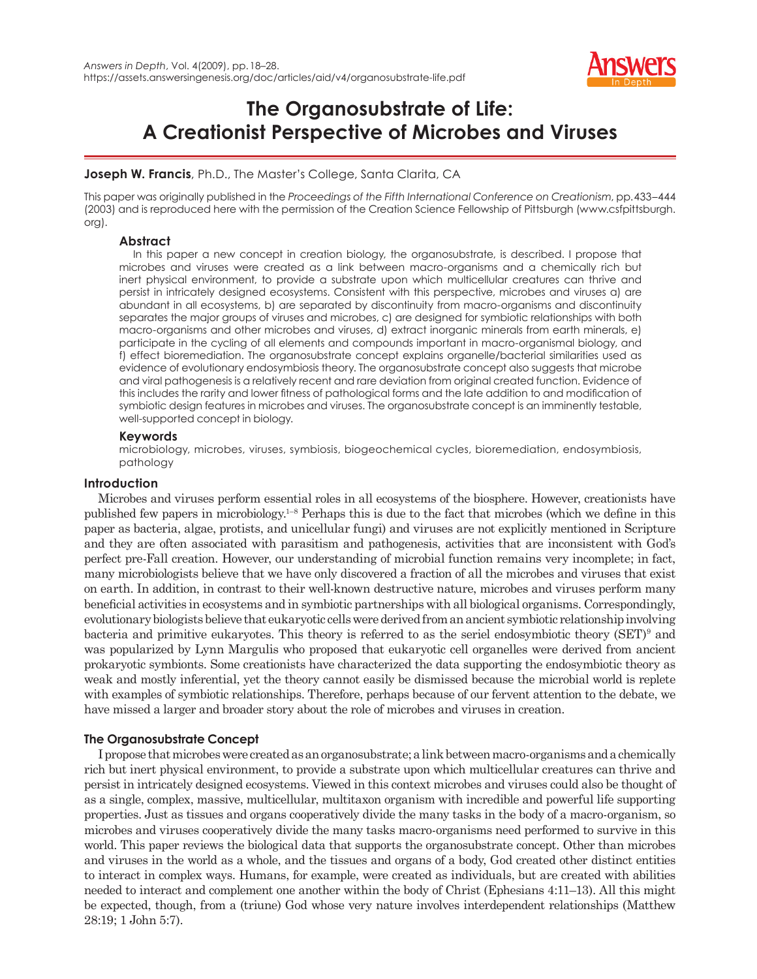

# **The Organosubstrate of Life: A Creationist Perspective of Microbes and Viruses**

# **Joseph W. Francis**, Ph.D., The Master's College, Santa Clarita, CA

This paper was originally published in the *Proceedings of the Fifth International Conference on Creationism*, pp. 433–444 (2003) and is reproduced here with the permission of the Creation Science Fellowship of Pittsburgh (www.csfpittsburgh. org).

# **Abstract**

In this paper a new concept in creation biology, the organosubstrate, is described. I propose that microbes and viruses were created as a link between macro-organisms and a chemically rich but inert physical environment, to provide a substrate upon which multicellular creatures can thrive and persist in intricately designed ecosystems. Consistent with this perspective, microbes and viruses a) are abundant in all ecosystems, b) are separated by discontinuity from macro-organisms and discontinuity separates the major groups of viruses and microbes, c) are designed for symbiotic relationships with both macro-organisms and other microbes and viruses, d) extract inorganic minerals from earth minerals, e) participate in the cycling of all elements and compounds important in macro-organismal biology, and f) effect bioremediation. The organosubstrate concept explains organelle/bacterial similarities used as evidence of evolutionary endosymbiosis theory. The organosubstrate concept also suggests that microbe and viral pathogenesis is a relatively recent and rare deviation from original created function. Evidence of this includes the rarity and lower fitness of pathological forms and the late addition to and modification of symbiotic design features in microbes and viruses. The organosubstrate concept is an imminently testable, well-supported concept in biology.

# **Keywords**

microbiology, microbes, viruses, symbiosis, biogeochemical cycles, bioremediation, endosymbiosis, pathology

# **Introduction**

Microbes and viruses perform essential roles in all ecosystems of the biosphere. However, creationists have published few papers in microbiology.<sup>1–8</sup> Perhaps this is due to the fact that microbes (which we define in this paper as bacteria, algae, protists, and unicellular fungi) and viruses are not explicitly mentioned in Scripture and they are often associated with parasitism and pathogenesis, activities that are inconsistent with God's perfect pre-Fall creation. However, our understanding of microbial function remains very incomplete; in fact, many microbiologists believe that we have only discovered a fraction of all the microbes and viruses that exist on earth. In addition, in contrast to their well-known destructive nature, microbes and viruses perform many beneficial activities in ecosystems and in symbiotic partnerships with all biological organisms. Correspondingly, evolutionary biologists believe that eukaryotic cells were derived from an ancient symbiotic relationship involving bacteria and primitive eukaryotes. This theory is referred to as the seriel endosymbiotic theory (SET)<sup>9</sup> and was popularized by Lynn Margulis who proposed that eukaryotic cell organelles were derived from ancient prokaryotic symbionts. Some creationists have characterized the data supporting the endosymbiotic theory as weak and mostly inferential, yet the theory cannot easily be dismissed because the microbial world is replete with examples of symbiotic relationships. Therefore, perhaps because of our fervent attention to the debate, we have missed a larger and broader story about the role of microbes and viruses in creation.

# **The Organosubstrate Concept**

I propose that microbes were created as an organosubstrate; a link between macro-organisms and a chemically rich but inert physical environment, to provide a substrate upon which multicellular creatures can thrive and persist in intricately designed ecosystems. Viewed in this context microbes and viruses could also be thought of as a single, complex, massive, multicellular, multitaxon organism with incredible and powerful life supporting properties. Just as tissues and organs cooperatively divide the many tasks in the body of a macro-organism, so microbes and viruses cooperatively divide the many tasks macro-organisms need performed to survive in this world. This paper reviews the biological data that supports the organosubstrate concept. Other than microbes and viruses in the world as a whole, and the tissues and organs of a body, God created other distinct entities to interact in complex ways. Humans, for example, were created as individuals, but are created with abilities needed to interact and complement one another within the body of Christ (Ephesians 4:11–13). All this might be expected, though, from a (triune) God whose very nature involves interdependent relationships (Matthew 28:19; 1 John 5:7).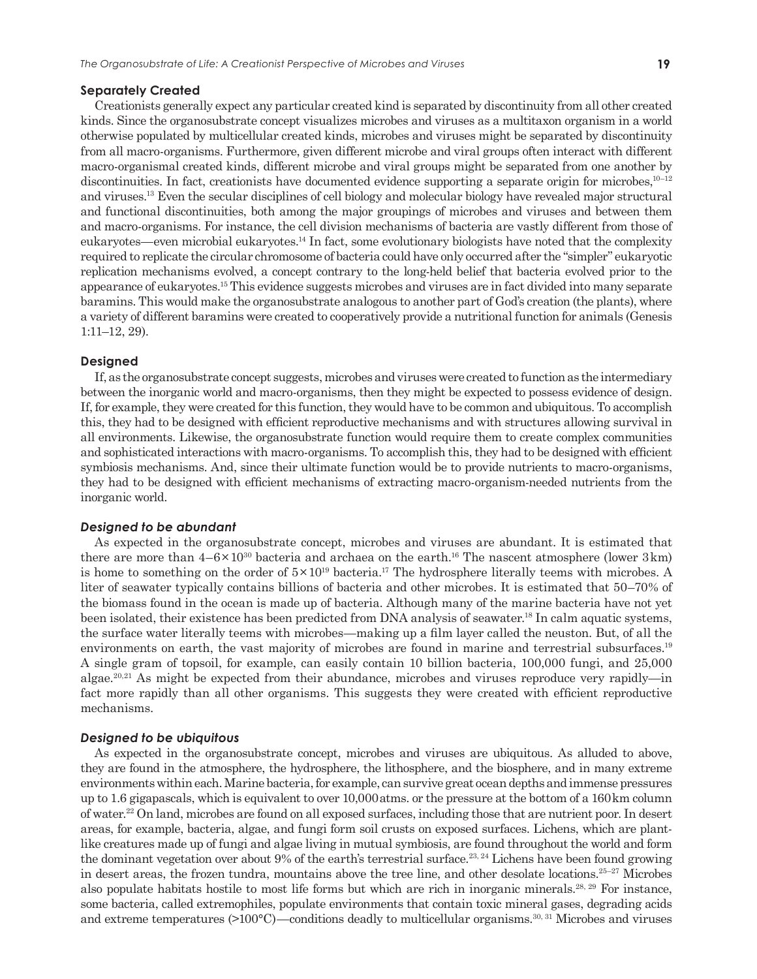### **Separately Created**

Creationists generally expect any particular created kind is separated by discontinuity from all other created kinds. Since the organosubstrate concept visualizes microbes and viruses as a multitaxon organism in a world otherwise populated by multicellular created kinds, microbes and viruses might be separated by discontinuity from all macro-organisms. Furthermore, given different microbe and viral groups often interact with different macro-organismal created kinds, different microbe and viral groups might be separated from one another by discontinuities. In fact, creationists have documented evidence supporting a separate origin for microbes,<sup>10–12</sup> and viruses.13 Even the secular disciplines of cell biology and molecular biology have revealed major structural and functional discontinuities, both among the major groupings of microbes and viruses and between them and macro-organisms. For instance, the cell division mechanisms of bacteria are vastly different from those of eukaryotes—even microbial eukaryotes.14 In fact, some evolutionary biologists have noted that the complexity required to replicate the circular chromosome of bacteria could have only occurred after the "simpler" eukaryotic replication mechanisms evolved, a concept contrary to the long-held belief that bacteria evolved prior to the appearance of eukaryotes.15 This evidence suggests microbes and viruses are in fact divided into many separate baramins. This would make the organosubstrate analogous to another part of God's creation (the plants), where a variety of different baramins were created to cooperatively provide a nutritional function for animals (Genesis 1:11–12, 29).

## **Designed**

If, as the organosubstrate concept suggests, microbes and viruses were created to function as the intermediary between the inorganic world and macro-organisms, then they might be expected to possess evidence of design. If, for example, they were created for this function, they would have to be common and ubiquitous. To accomplish this, they had to be designed with efficient reproductive mechanisms and with structures allowing survival in all environments. Likewise, the organosubstrate function would require them to create complex communities and sophisticated interactions with macro-organisms. To accomplish this, they had to be designed with efficient symbiosis mechanisms. And, since their ultimate function would be to provide nutrients to macro-organisms, they had to be designed with efficient mechanisms of extracting macro-organism-needed nutrients from the inorganic world.

#### *Designed to be abundant*

As expected in the organosubstrate concept, microbes and viruses are abundant. It is estimated that there are more than  $4-6 \times 10^{30}$  bacteria and archaea on the earth.<sup>16</sup> The nascent atmosphere (lower 3 km) is home to something on the order of  $5 \times 10^{19}$  bacteria.<sup>17</sup> The hydrosphere literally teems with microbes. A liter of seawater typically contains billions of bacteria and other microbes. It is estimated that 50–70% of the biomass found in the ocean is made up of bacteria. Although many of the marine bacteria have not yet been isolated, their existence has been predicted from DNA analysis of seawater.<sup>18</sup> In calm aquatic systems, the surface water literally teems with microbes—making up a film layer called the neuston. But, of all the environments on earth, the vast majority of microbes are found in marine and terrestrial subsurfaces.<sup>19</sup> A single gram of topsoil, for example, can easily contain 10 billion bacteria, 100,000 fungi, and 25,000 algae.<sup>20,21</sup> As might be expected from their abundance, microbes and viruses reproduce very rapidly—in fact more rapidly than all other organisms. This suggests they were created with efficient reproductive mechanisms.

#### *Designed to be ubiquitous*

As expected in the organosubstrate concept, microbes and viruses are ubiquitous. As alluded to above, they are found in the atmosphere, the hydrosphere, the lithosphere, and the biosphere, and in many extreme environments within each. Marine bacteria, for example, can survive great ocean depths and immense pressures up to 1.6 gigapascals, which is equivalent to over 10,000 atms. or the pressure at the bottom of a 160 km column of water.22 On land, microbes are found on all exposed surfaces, including those that are nutrient poor. In desert areas, for example, bacteria, algae, and fungi form soil crusts on exposed surfaces. Lichens, which are plantlike creatures made up of fungi and algae living in mutual symbiosis, are found throughout the world and form the dominant vegetation over about 9% of the earth's terrestrial surface.<sup>23, 24</sup> Lichens have been found growing in desert areas, the frozen tundra, mountains above the tree line, and other desolate locations.<sup>25–27</sup> Microbes also populate habitats hostile to most life forms but which are rich in inorganic minerals.28, 29 For instance, some bacteria, called extremophiles, populate environments that contain toxic mineral gases, degrading acids and extreme temperatures (>100°C)—conditions deadly to multicellular organisms.<sup>30, 31</sup> Microbes and viruses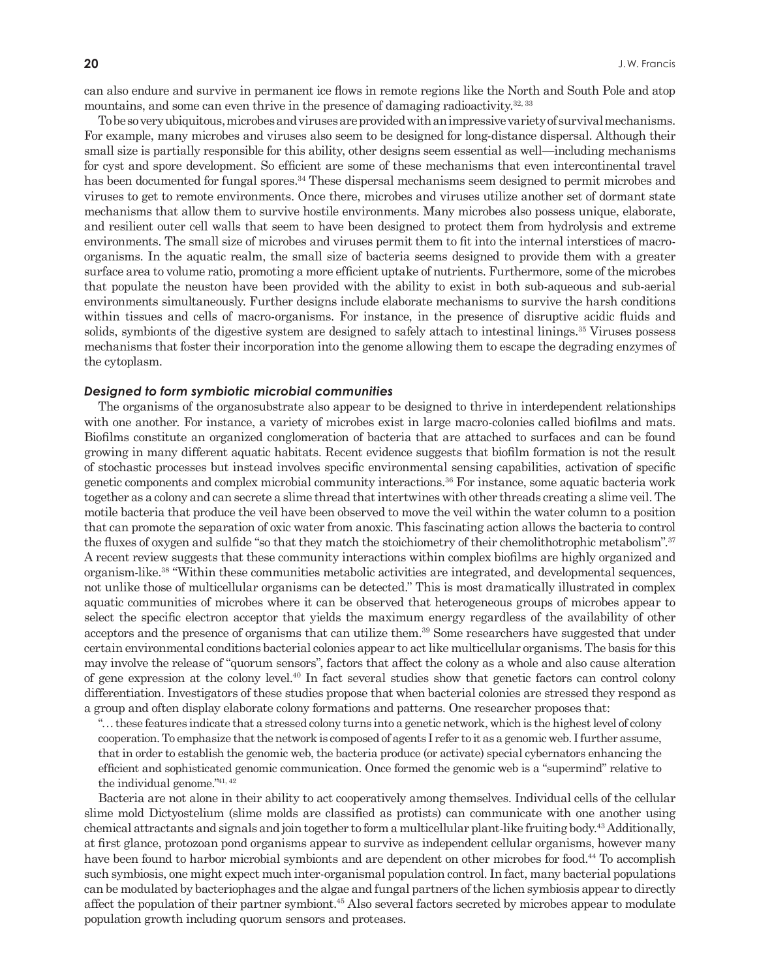can also endure and survive in permanent ice flows in remote regions like the North and South Pole and atop mountains, and some can even thrive in the presence of damaging radioactivity.32, 33

To be so very ubiquitous, microbes and viruses are provided with an impressive variety of survival mechanisms. For example, many microbes and viruses also seem to be designed for long-distance dispersal. Although their small size is partially responsible for this ability, other designs seem essential as well—including mechanisms for cyst and spore development. So efficient are some of these mechanisms that even intercontinental travel has been documented for fungal spores.<sup>34</sup> These dispersal mechanisms seem designed to permit microbes and viruses to get to remote environments. Once there, microbes and viruses utilize another set of dormant state mechanisms that allow them to survive hostile environments. Many microbes also possess unique, elaborate, and resilient outer cell walls that seem to have been designed to protect them from hydrolysis and extreme environments. The small size of microbes and viruses permit them to fit into the internal interstices of macroorganisms. In the aquatic realm, the small size of bacteria seems designed to provide them with a greater surface area to volume ratio, promoting a more efficient uptake of nutrients. Furthermore, some of the microbes that populate the neuston have been provided with the ability to exist in both sub-aqueous and sub-aerial environments simultaneously. Further designs include elaborate mechanisms to survive the harsh conditions within tissues and cells of macro-organisms. For instance, in the presence of disruptive acidic fluids and solids, symbionts of the digestive system are designed to safely attach to intestinal linings.<sup>35</sup> Viruses possess mechanisms that foster their incorporation into the genome allowing them to escape the degrading enzymes of the cytoplasm.

#### *Designed to form symbiotic microbial communities*

The organisms of the organosubstrate also appear to be designed to thrive in interdependent relationships with one another. For instance, a variety of microbes exist in large macro-colonies called biofilms and mats. Biofilms constitute an organized conglomeration of bacteria that are attached to surfaces and can be found growing in many different aquatic habitats. Recent evidence suggests that biofilm formation is not the result of stochastic processes but instead involves specific environmental sensing capabilities, activation of specific genetic components and complex microbial community interactions.<sup>36</sup> For instance, some aquatic bacteria work together as a colony and can secrete a slime thread that intertwines with other threads creating a slime veil. The motile bacteria that produce the veil have been observed to move the veil within the water column to a position that can promote the separation of oxic water from anoxic. This fascinating action allows the bacteria to control the fluxes of oxygen and sulfide "so that they match the stoichiometry of their chemolithotrophic metabolism".<sup>37</sup> A recent review suggests that these community interactions within complex biofilms are highly organized and organism-like.38 "Within these communities metabolic activities are integrated, and developmental sequences, not unlike those of multicellular organisms can be detected." This is most dramatically illustrated in complex aquatic communities of microbes where it can be observed that heterogeneous groups of microbes appear to select the specific electron acceptor that yields the maximum energy regardless of the availability of other acceptors and the presence of organisms that can utilize them.39 Some researchers have suggested that under certain environmental conditions bacterial colonies appear to act like multicellular organisms. The basis for this may involve the release of "quorum sensors", factors that affect the colony as a whole and also cause alteration of gene expression at the colony level.40 In fact several studies show that genetic factors can control colony differentiation. Investigators of these studies propose that when bacterial colonies are stressed they respond as a group and often display elaborate colony formations and patterns. One researcher proposes that:

". . . these features indicate that a stressed colony turns into a genetic network, which is the highest level of colony cooperation. To emphasize that the network is composed of agents I refer to it as a genomic web. I further assume, that in order to establish the genomic web, the bacteria produce (or activate) special cybernators enhancing the efficient and sophisticated genomic communication. Once formed the genomic web is a "supermind" relative to the individual genome."41, 42

Bacteria are not alone in their ability to act cooperatively among themselves. Individual cells of the cellular slime mold Dictyostelium (slime molds are classified as protists) can communicate with one another using chemical attractants and signals and join together to form a multicellular plant-like fruiting body.43 Additionally, at first glance, protozoan pond organisms appear to survive as independent cellular organisms, however many have been found to harbor microbial symbionts and are dependent on other microbes for food.<sup>44</sup> To accomplish such symbiosis, one might expect much inter-organismal population control. In fact, many bacterial populations can be modulated by bacteriophages and the algae and fungal partners of the lichen symbiosis appear to directly affect the population of their partner symbiont.45 Also several factors secreted by microbes appear to modulate population growth including quorum sensors and proteases.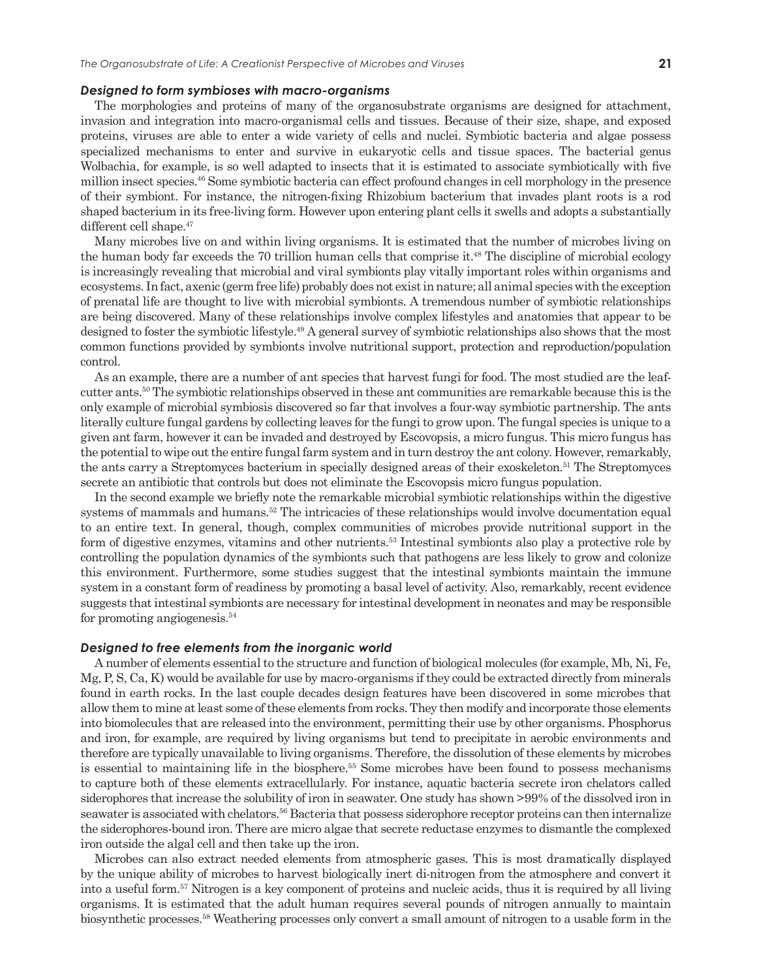#### *Designed to form symbioses with macro-organisms*

The morphologies and proteins of many of the organosubstrate organisms are designed for attachment, invasion and integration into macro-organismal cells and tissues. Because of their size, shape, and exposed proteins, viruses are able to enter a wide variety of cells and nuclei. Symbiotic bacteria and algae possess specialized mechanisms to enter and survive in eukaryotic cells and tissue spaces. The bacterial genus Wolbachia, for example, is so well adapted to insects that it is estimated to associate symbiotically with five million insect species.46 Some symbiotic bacteria can effect profound changes in cell morphology in the presence of their symbiont. For instance, the nitrogen-fixing Rhizobium bacterium that invades plant roots is a rod shaped bacterium in its free-living form. However upon entering plant cells it swells and adopts a substantially different cell shape.<sup>47</sup>

Many microbes live on and within living organisms. It is estimated that the number of microbes living on the human body far exceeds the 70 trillion human cells that comprise it.<sup>48</sup> The discipline of microbial ecology is increasingly revealing that microbial and viral symbionts play vitally important roles within organisms and ecosystems. In fact, axenic (germ free life) probably does not exist in nature; all animal species with the exception of prenatal life are thought to live with microbial symbionts. A tremendous number of symbiotic relationships are being discovered. Many of these relationships involve complex lifestyles and anatomies that appear to be designed to foster the symbiotic lifestyle.49 A general survey of symbiotic relationships also shows that the most common functions provided by symbionts involve nutritional support, protection and reproduction/population control.

As an example, there are a number of ant species that harvest fungi for food. The most studied are the leafcutter ants.50 The symbiotic relationships observed in these ant communities are remarkable because this is the only example of microbial symbiosis discovered so far that involves a four-way symbiotic partnership. The ants literally culture fungal gardens by collecting leaves for the fungi to grow upon. The fungal species is unique to a given ant farm, however it can be invaded and destroyed by Escovopsis, a micro fungus. This micro fungus has the potential to wipe out the entire fungal farm system and in turn destroy the ant colony. However, remarkably, the ants carry a Streptomyces bacterium in specially designed areas of their exoskeleton.51 The Streptomyces secrete an antibiotic that controls but does not eliminate the Escovopsis micro fungus population.

In the second example we briefly note the remarkable microbial symbiotic relationships within the digestive systems of mammals and humans.<sup>52</sup> The intricacies of these relationships would involve documentation equal to an entire text. In general, though, complex communities of microbes provide nutritional support in the form of digestive enzymes, vitamins and other nutrients.53 Intestinal symbionts also play a protective role by controlling the population dynamics of the symbionts such that pathogens are less likely to grow and colonize this environment. Furthermore, some studies suggest that the intestinal symbionts maintain the immune system in a constant form of readiness by promoting a basal level of activity. Also, remarkably, recent evidence suggests that intestinal symbionts are necessary for intestinal development in neonates and may be responsible for promoting angiogenesis.<sup>54</sup>

#### *Designed to free elements from the inorganic world*

A number of elements essential to the structure and function of biological molecules (for example, Mb, Ni, Fe, Mg, P, S, Ca, K) would be available for use by macro-organisms if they could be extracted directly from minerals found in earth rocks. In the last couple decades design features have been discovered in some microbes that allow them to mine at least some of these elements from rocks. They then modify and incorporate those elements into biomolecules that are released into the environment, permitting their use by other organisms. Phosphorus and iron, for example, are required by living organisms but tend to precipitate in aerobic environments and therefore are typically unavailable to living organisms. Therefore, the dissolution of these elements by microbes is essential to maintaining life in the biosphere.55 Some microbes have been found to possess mechanisms to capture both of these elements extracellularly. For instance, aquatic bacteria secrete iron chelators called siderophores that increase the solubility of iron in seawater. One study has shown >99% of the dissolved iron in seawater is associated with chelators.<sup>56</sup> Bacteria that possess siderophore receptor proteins can then internalize the siderophores-bound iron. There are micro algae that secrete reductase enzymes to dismantle the complexed iron outside the algal cell and then take up the iron.

Microbes can also extract needed elements from atmospheric gases. This is most dramatically displayed by the unique ability of microbes to harvest biologically inert di-nitrogen from the atmosphere and convert it into a useful form.57 Nitrogen is a key component of proteins and nucleic acids, thus it is required by all living organisms. It is estimated that the adult human requires several pounds of nitrogen annually to maintain biosynthetic processes.58 Weathering processes only convert a small amount of nitrogen to a usable form in the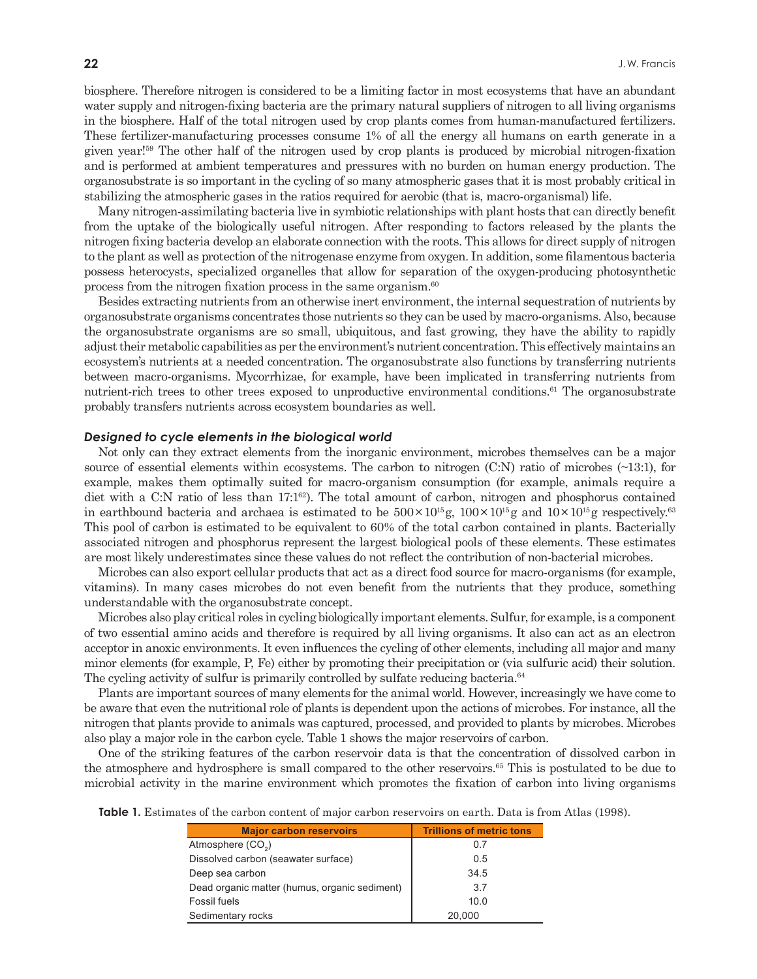biosphere. Therefore nitrogen is considered to be a limiting factor in most ecosystems that have an abundant water supply and nitrogen-fixing bacteria are the primary natural suppliers of nitrogen to all living organisms in the biosphere. Half of the total nitrogen used by crop plants comes from human-manufactured fertilizers. These fertilizer-manufacturing processes consume 1% of all the energy all humans on earth generate in a given year!59 The other half of the nitrogen used by crop plants is produced by microbial nitrogen-fixation and is performed at ambient temperatures and pressures with no burden on human energy production. The organosubstrate is so important in the cycling of so many atmospheric gases that it is most probably critical in stabilizing the atmospheric gases in the ratios required for aerobic (that is, macro-organismal) life.

Many nitrogen-assimilating bacteria live in symbiotic relationships with plant hosts that can directly benefit from the uptake of the biologically useful nitrogen. After responding to factors released by the plants the nitrogen fixing bacteria develop an elaborate connection with the roots. This allows for direct supply of nitrogen to the plant as well as protection of the nitrogenase enzyme from oxygen. In addition, some filamentous bacteria possess heterocysts, specialized organelles that allow for separation of the oxygen-producing photosynthetic process from the nitrogen fixation process in the same organism.60

Besides extracting nutrients from an otherwise inert environment, the internal sequestration of nutrients by organosubstrate organisms concentrates those nutrients so they can be used by macro-organisms. Also, because the organosubstrate organisms are so small, ubiquitous, and fast growing, they have the ability to rapidly adjust their metabolic capabilities as per the environment's nutrient concentration. This effectively maintains an ecosystem's nutrients at a needed concentration. The organosubstrate also functions by transferring nutrients between macro-organisms. Mycorrhizae, for example, have been implicated in transferring nutrients from nutrient-rich trees to other trees exposed to unproductive environmental conditions.<sup>61</sup> The organosubstrate probably transfers nutrients across ecosystem boundaries as well.

#### *Designed to cycle elements in the biological world*

Not only can they extract elements from the inorganic environment, microbes themselves can be a major source of essential elements within ecosystems. The carbon to nitrogen (C:N) ratio of microbes (~13:1), for example, makes them optimally suited for macro-organism consumption (for example, animals require a diet with a C:N ratio of less than  $17:1^{62}$ . The total amount of carbon, nitrogen and phosphorus contained in earthbound bacteria and archaea is estimated to be  $500 \times 10^{15}$ g,  $100 \times 10^{15}$ g and  $10 \times 10^{15}$ g respectively.<sup>63</sup> This pool of carbon is estimated to be equivalent to 60% of the total carbon contained in plants. Bacterially associated nitrogen and phosphorus represent the largest biological pools of these elements. These estimates are most likely underestimates since these values do not reflect the contribution of non-bacterial microbes.

Microbes can also export cellular products that act as a direct food source for macro-organisms (for example, vitamins). In many cases microbes do not even benefit from the nutrients that they produce, something understandable with the organosubstrate concept.

Microbes also play critical roles in cycling biologically important elements. Sulfur, for example, is a component of two essential amino acids and therefore is required by all living organisms. It also can act as an electron acceptor in anoxic environments. It even influences the cycling of other elements, including all major and many minor elements (for example, P, Fe) either by promoting their precipitation or (via sulfuric acid) their solution. The cycling activity of sulfur is primarily controlled by sulfate reducing bacteria.<sup>64</sup>

Plants are important sources of many elements for the animal world. However, increasingly we have come to be aware that even the nutritional role of plants is dependent upon the actions of microbes. For instance, all the nitrogen that plants provide to animals was captured, processed, and provided to plants by microbes. Microbes also play a major role in the carbon cycle. Table 1 shows the major reservoirs of carbon.

One of the striking features of the carbon reservoir data is that the concentration of dissolved carbon in the atmosphere and hydrosphere is small compared to the other reservoirs.65 This is postulated to be due to microbial activity in the marine environment which promotes the fixation of carbon into living organisms

|  |  |  |  | <b>Table 1.</b> Estimates of the carbon content of major carbon reservoirs on earth. Data is from Atlas (1998). |  |  |  |
|--|--|--|--|-----------------------------------------------------------------------------------------------------------------|--|--|--|
|--|--|--|--|-----------------------------------------------------------------------------------------------------------------|--|--|--|

| <b>Major carbon reservoirs</b>                | <b>Trillions of metric tons</b> |
|-----------------------------------------------|---------------------------------|
| Atmosphere (CO <sub>2</sub> )                 | 0.7                             |
| Dissolved carbon (seawater surface)           | 0.5                             |
| Deep sea carbon                               | 34.5                            |
| Dead organic matter (humus, organic sediment) | 3.7                             |
| Fossil fuels                                  | 10.0                            |
| Sedimentary rocks                             | 20,000                          |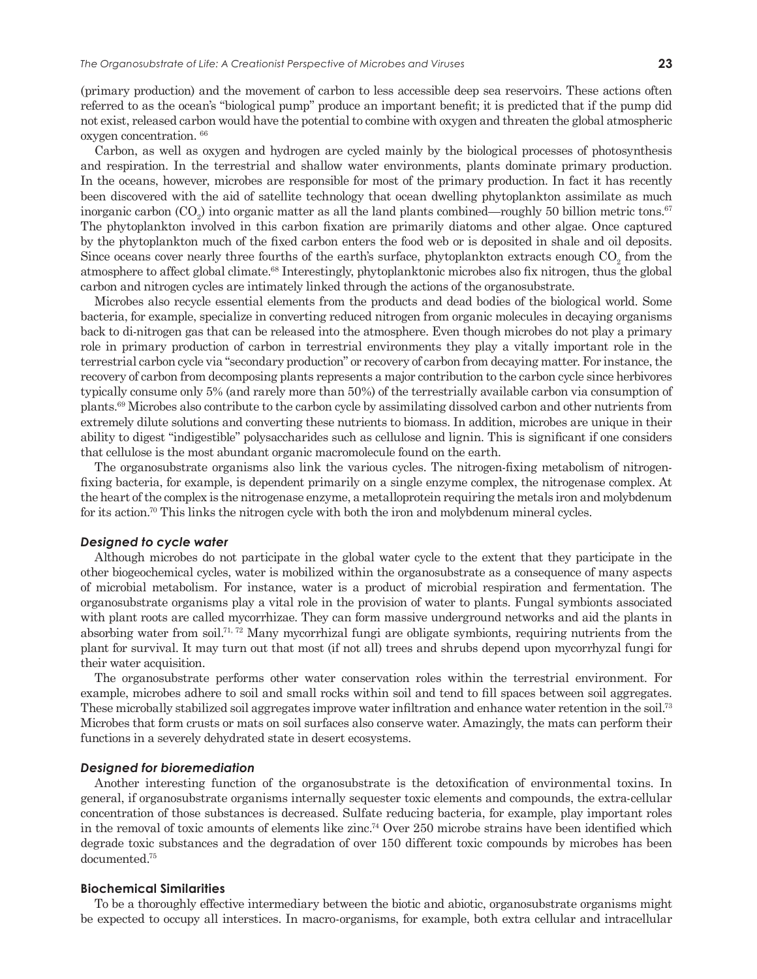(primary production) and the movement of carbon to less accessible deep sea reservoirs. These actions often referred to as the ocean's "biological pump" produce an important benefit; it is predicted that if the pump did not exist, released carbon would have the potential to combine with oxygen and threaten the global atmospheric oxygen concentration. 66

Carbon, as well as oxygen and hydrogen are cycled mainly by the biological processes of photosynthesis and respiration. In the terrestrial and shallow water environments, plants dominate primary production. In the oceans, however, microbes are responsible for most of the primary production. In fact it has recently been discovered with the aid of satellite technology that ocean dwelling phytoplankton assimilate as much inorganic carbon (CO<sub>2</sub>) into organic matter as all the land plants combined—roughly 50 billion metric tons.<sup>67</sup> The phytoplankton involved in this carbon fixation are primarily diatoms and other algae. Once captured by the phytoplankton much of the fixed carbon enters the food web or is deposited in shale and oil deposits. Since oceans cover nearly three fourths of the earth's surface, phytoplankton extracts enough  $\mathrm{CO}_2$  from the atmosphere to affect global climate.<sup>68</sup> Interestingly, phytoplanktonic microbes also fix nitrogen, thus the global carbon and nitrogen cycles are intimately linked through the actions of the organosubstrate.

Microbes also recycle essential elements from the products and dead bodies of the biological world. Some bacteria, for example, specialize in converting reduced nitrogen from organic molecules in decaying organisms back to di-nitrogen gas that can be released into the atmosphere. Even though microbes do not play a primary role in primary production of carbon in terrestrial environments they play a vitally important role in the terrestrial carbon cycle via "secondary production" or recovery of carbon from decaying matter. For instance, the recovery of carbon from decomposing plants represents a major contribution to the carbon cycle since herbivores typically consume only 5% (and rarely more than 50%) of the terrestrially available carbon via consumption of plants.69 Microbes also contribute to the carbon cycle by assimilating dissolved carbon and other nutrients from extremely dilute solutions and converting these nutrients to biomass. In addition, microbes are unique in their ability to digest "indigestible" polysaccharides such as cellulose and lignin. This is significant if one considers that cellulose is the most abundant organic macromolecule found on the earth.

The organosubstrate organisms also link the various cycles. The nitrogen-fixing metabolism of nitrogenfixing bacteria, for example, is dependent primarily on a single enzyme complex, the nitrogenase complex. At the heart of the complex is the nitrogenase enzyme, a metalloprotein requiring the metals iron and molybdenum for its action.70 This links the nitrogen cycle with both the iron and molybdenum mineral cycles.

## *Designed to cycle water*

Although microbes do not participate in the global water cycle to the extent that they participate in the other biogeochemical cycles, water is mobilized within the organosubstrate as a consequence of many aspects of microbial metabolism. For instance, water is a product of microbial respiration and fermentation. The organosubstrate organisms play a vital role in the provision of water to plants. Fungal symbionts associated with plant roots are called mycorrhizae. They can form massive underground networks and aid the plants in absorbing water from soil.<sup>71, 72</sup> Many mycorrhizal fungi are obligate symbionts, requiring nutrients from the plant for survival. It may turn out that most (if not all) trees and shrubs depend upon mycorrhyzal fungi for their water acquisition.

The organosubstrate performs other water conservation roles within the terrestrial environment. For example, microbes adhere to soil and small rocks within soil and tend to fill spaces between soil aggregates. These microbally stabilized soil aggregates improve water infiltration and enhance water retention in the soil.73 Microbes that form crusts or mats on soil surfaces also conserve water. Amazingly, the mats can perform their functions in a severely dehydrated state in desert ecosystems.

#### *Designed for bioremediation*

Another interesting function of the organosubstrate is the detoxification of environmental toxins. In general, if organosubstrate organisms internally sequester toxic elements and compounds, the extra-cellular concentration of those substances is decreased. Sulfate reducing bacteria, for example, play important roles in the removal of toxic amounts of elements like zinc.74 Over 250 microbe strains have been identified which degrade toxic substances and the degradation of over 150 different toxic compounds by microbes has been documented.75

#### **Biochemical Similarities**

To be a thoroughly effective intermediary between the biotic and abiotic, organosubstrate organisms might be expected to occupy all interstices. In macro-organisms, for example, both extra cellular and intracellular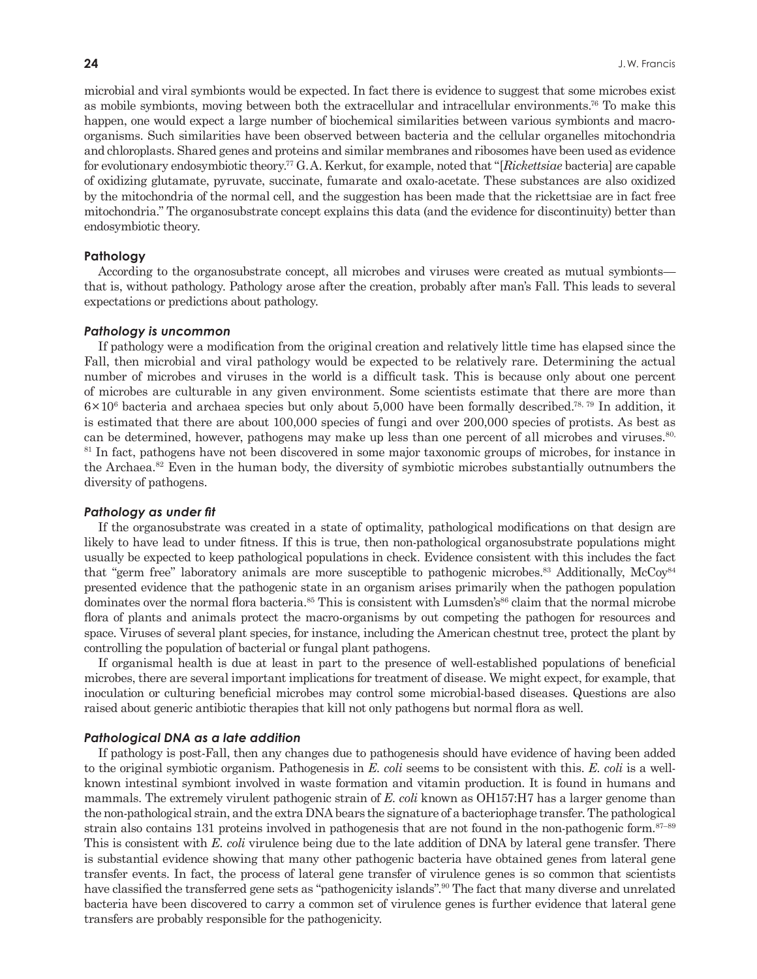microbial and viral symbionts would be expected. In fact there is evidence to suggest that some microbes exist as mobile symbionts, moving between both the extracellular and intracellular environments.76 To make this happen, one would expect a large number of biochemical similarities between various symbionts and macroorganisms. Such similarities have been observed between bacteria and the cellular organelles mitochondria and chloroplasts. Shared genes and proteins and similar membranes and ribosomes have been used as evidence for evolutionary endosymbiotic theory.77 G. A. Kerkut, for example, noted that "[*Rickettsiae* bacteria] are capable of oxidizing glutamate, pyruvate, succinate, fumarate and oxalo-acetate. These substances are also oxidized by the mitochondria of the normal cell, and the suggestion has been made that the rickettsiae are in fact free mitochondria." The organosubstrate concept explains this data (and the evidence for discontinuity) better than endosymbiotic theory.

#### **Pathology**

According to the organosubstrate concept, all microbes and viruses were created as mutual symbionts that is, without pathology. Pathology arose after the creation, probably after man's Fall. This leads to several expectations or predictions about pathology.

#### *Pathology is uncommon*

If pathology were a modification from the original creation and relatively little time has elapsed since the Fall, then microbial and viral pathology would be expected to be relatively rare. Determining the actual number of microbes and viruses in the world is a difficult task. This is because only about one percent of microbes are culturable in any given environment. Some scientists estimate that there are more than  $6 \times 10^6$  bacteria and archaea species but only about 5,000 have been formally described.<sup>78, 79</sup> In addition, it is estimated that there are about 100,000 species of fungi and over 200,000 species of protists. As best as can be determined, however, pathogens may make up less than one percent of all microbes and viruses.<sup>80,</sup> <sup>81</sup> In fact, pathogens have not been discovered in some major taxonomic groups of microbes, for instance in the Archaea.82 Even in the human body, the diversity of symbiotic microbes substantially outnumbers the diversity of pathogens.

#### *Pathology as under fit*

If the organosubstrate was created in a state of optimality, pathological modifications on that design are likely to have lead to under fitness. If this is true, then non-pathological organosubstrate populations might usually be expected to keep pathological populations in check. Evidence consistent with this includes the fact that "germ free" laboratory animals are more susceptible to pathogenic microbes.83 Additionally, McCoy84 presented evidence that the pathogenic state in an organism arises primarily when the pathogen population dominates over the normal flora bacteria.<sup>85</sup> This is consistent with Lumsden's<sup>86</sup> claim that the normal microbe flora of plants and animals protect the macro-organisms by out competing the pathogen for resources and space. Viruses of several plant species, for instance, including the American chestnut tree, protect the plant by controlling the population of bacterial or fungal plant pathogens.

If organismal health is due at least in part to the presence of well-established populations of beneficial microbes, there are several important implications for treatment of disease. We might expect, for example, that inoculation or culturing beneficial microbes may control some microbial-based diseases. Questions are also raised about generic antibiotic therapies that kill not only pathogens but normal flora as well.

#### *Pathological DNA as a late addition*

If pathology is post-Fall, then any changes due to pathogenesis should have evidence of having been added to the original symbiotic organism. Pathogenesis in *E. coli* seems to be consistent with this. *E. coli* is a wellknown intestinal symbiont involved in waste formation and vitamin production. It is found in humans and mammals. The extremely virulent pathogenic strain of *E. coli* known as OH157:H7 has a larger genome than the non-pathological strain, and the extra DNA bears the signature of a bacteriophage transfer. The pathological strain also contains 131 proteins involved in pathogenesis that are not found in the non-pathogenic form.<sup>87–89</sup> This is consistent with *E. coli* virulence being due to the late addition of DNA by lateral gene transfer. There is substantial evidence showing that many other pathogenic bacteria have obtained genes from lateral gene transfer events. In fact, the process of lateral gene transfer of virulence genes is so common that scientists have classified the transferred gene sets as "pathogenicity islands".<sup>90</sup> The fact that many diverse and unrelated bacteria have been discovered to carry a common set of virulence genes is further evidence that lateral gene transfers are probably responsible for the pathogenicity.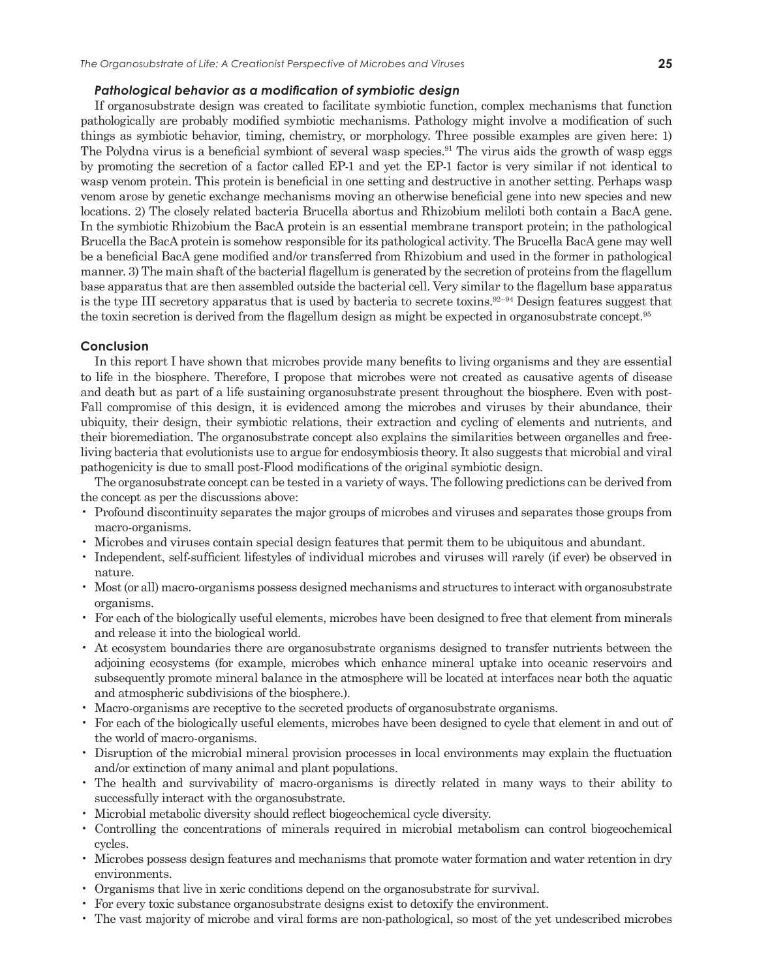#### *Pathological behavior as a modification of symbiotic design*

If organosubstrate design was created to facilitate symbiotic function, complex mechanisms that function pathologically are probably modified symbiotic mechanisms. Pathology might involve a modification of such things as symbiotic behavior, timing, chemistry, or morphology. Three possible examples are given here: 1) The Polydna virus is a beneficial symbiont of several wasp species.<sup>91</sup> The virus aids the growth of wasp eggs by promoting the secretion of a factor called EP-1 and yet the EP-1 factor is very similar if not identical to wasp venom protein. This protein is beneficial in one setting and destructive in another setting. Perhaps wasp venom arose by genetic exchange mechanisms moving an otherwise beneficial gene into new species and new locations. 2) The closely related bacteria Brucella abortus and Rhizobium meliloti both contain a BacA gene. In the symbiotic Rhizobium the BacA protein is an essential membrane transport protein; in the pathological Brucella the BacA protein is somehow responsible for its pathological activity. The Brucella BacA gene may well be a beneficial BacA gene modified and/or transferred from Rhizobium and used in the former in pathological manner. 3) The main shaft of the bacterial flagellum is generated by the secretion of proteins from the flagellum base apparatus that are then assembled outside the bacterial cell. Very similar to the flagellum base apparatus is the type III secretory apparatus that is used by bacteria to secrete toxins.<sup>92–94</sup> Design features suggest that the toxin secretion is derived from the flagellum design as might be expected in organosubstrate concept.95

# **Conclusion**

In this report I have shown that microbes provide many benefits to living organisms and they are essential to life in the biosphere. Therefore, I propose that microbes were not created as causative agents of disease and death but as part of a life sustaining organosubstrate present throughout the biosphere. Even with post-Fall compromise of this design, it is evidenced among the microbes and viruses by their abundance, their ubiquity, their design, their symbiotic relations, their extraction and cycling of elements and nutrients, and their bioremediation. The organosubstrate concept also explains the similarities between organelles and freeliving bacteria that evolutionists use to argue for endosymbiosis theory. It also suggests that microbial and viral pathogenicity is due to small post-Flood modifications of the original symbiotic design.

The organosubstrate concept can be tested in a variety of ways. The following predictions can be derived from the concept as per the discussions above:

- Profound discontinuity separates the major groups of microbes and viruses and separates those groups from macro-organisms.
- Microbes and viruses contain special design features that permit them to be ubiquitous and abundant.
- Independent, self-sufficient lifestyles of individual microbes and viruses will rarely (if ever) be observed in nature.
- Most (or all) macro-organisms possess designed mechanisms and structures to interact with organosubstrate organisms.
- For each of the biologically useful elements, microbes have been designed to free that element from minerals and release it into the biological world.
- At ecosystem boundaries there are organosubstrate organisms designed to transfer nutrients between the adjoining ecosystems (for example, microbes which enhance mineral uptake into oceanic reservoirs and subsequently promote mineral balance in the atmosphere will be located at interfaces near both the aquatic and atmospheric subdivisions of the biosphere.).
- Macro-organisms are receptive to the secreted products of organosubstrate organisms.
- For each of the biologically useful elements, microbes have been designed to cycle that element in and out of the world of macro-organisms.
- Disruption of the microbial mineral provision processes in local environments may explain the fluctuation and/or extinction of many animal and plant populations.
- The health and survivability of macro-organisms is directly related in many ways to their ability to successfully interact with the organosubstrate.
- Microbial metabolic diversity should reflect biogeochemical cycle diversity.
- Controlling the concentrations of minerals required in microbial metabolism can control biogeochemical cycles.
- Microbes possess design features and mechanisms that promote water formation and water retention in dry environments.
- Organisms that live in xeric conditions depend on the organosubstrate for survival.
- For every toxic substance organosubstrate designs exist to detoxify the environment.
- The vast majority of microbe and viral forms are non-pathological, so most of the yet undescribed microbes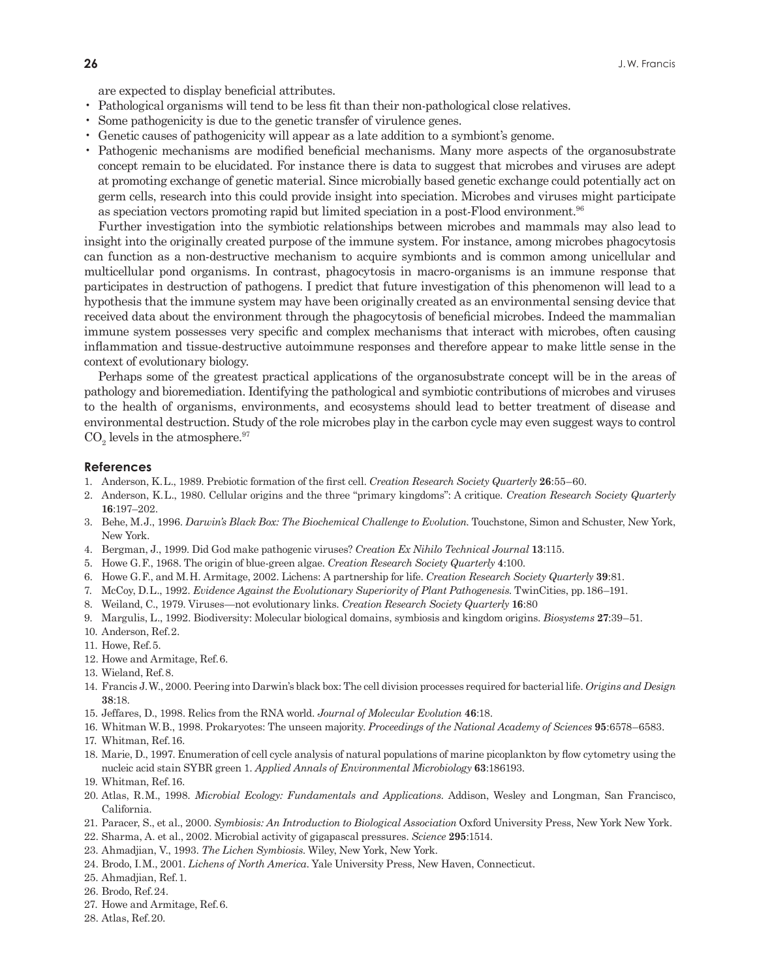are expected to display beneficial attributes.

- Pathological organisms will tend to be less fit than their non-pathological close relatives.
- Some pathogenicity is due to the genetic transfer of virulence genes.
- Genetic causes of pathogenicity will appear as a late addition to a symbiont's genome.
- Pathogenic mechanisms are modified beneficial mechanisms. Many more aspects of the organosubstrate concept remain to be elucidated. For instance there is data to suggest that microbes and viruses are adept at promoting exchange of genetic material. Since microbially based genetic exchange could potentially act on germ cells, research into this could provide insight into speciation. Microbes and viruses might participate as speciation vectors promoting rapid but limited speciation in a post-Flood environment.96

Further investigation into the symbiotic relationships between microbes and mammals may also lead to insight into the originally created purpose of the immune system. For instance, among microbes phagocytosis can function as a non-destructive mechanism to acquire symbionts and is common among unicellular and multicellular pond organisms. In contrast, phagocytosis in macro-organisms is an immune response that participates in destruction of pathogens. I predict that future investigation of this phenomenon will lead to a hypothesis that the immune system may have been originally created as an environmental sensing device that received data about the environment through the phagocytosis of beneficial microbes. Indeed the mammalian immune system possesses very specific and complex mechanisms that interact with microbes, often causing inflammation and tissue-destructive autoimmune responses and therefore appear to make little sense in the context of evolutionary biology.

Perhaps some of the greatest practical applications of the organosubstrate concept will be in the areas of pathology and bioremediation. Identifying the pathological and symbiotic contributions of microbes and viruses to the health of organisms, environments, and ecosystems should lead to better treatment of disease and environmental destruction. Study of the role microbes play in the carbon cycle may even suggest ways to control  $\mathrm{CO}_2$  levels in the atmosphere.<sup>97</sup>

#### **References**

- 1. Anderson, K. L., 1989. Prebiotic formation of the first cell. *Creation Research Society Quarterly* **26**:55–60.
- 2. Anderson, K. L., 1980. Cellular origins and the three "primary kingdoms": A critique. *Creation Research Society Quarterly* **16**:197–202.
- 3. Behe, M. J., 1996. *Darwin's Black Box: The Biochemical Challenge to Evolution*. Touchstone, Simon and Schuster, New York, New York.
- 4. Bergman, J., 1999. Did God make pathogenic viruses? *Creation Ex Nihilo Technical Journal* **13**:115.
- 5. Howe G. F., 1968. The origin of blue-green algae. *Creation Research Society Quarterly* **4**:100.
- 6. Howe G. F., and M. H. Armitage, 2002. Lichens: A partnership for life. *Creation Research Society Quarterly* **39**:81.
- 7. McCoy, D. L., 1992. *Evidence Against the Evolutionary Superiority of Plant Pathogenesis*. TwinCities, pp. 186–191.
- 8. Weiland, C., 1979. Viruses—not evolutionary links. *Creation Research Society Quarterly* **16**:80
- 9. Margulis, L., 1992. Biodiversity: Molecular biological domains, symbiosis and kingdom origins. *Biosystems* **27**:39–51.
- 10. Anderson, Ref. 2.
- 11. Howe, Ref. 5.
- 12. Howe and Armitage, Ref. 6.
- 13. Wieland, Ref. 8.
- 14. Francis J. W., 2000. Peering into Darwin's black box: The cell division processes required for bacterial life. *Origins and Design* **38**:18.
- 15. Jeffares, D., 1998. Relics from the RNA world. *Journal of Molecular Evolution* **46**:18.
- 16. Whitman W. B., 1998. Prokaryotes: The unseen majority. *Proceedings of the National Academy of Sciences* **95**:6578–6583.
- 17. Whitman, Ref. 16.
- 18. Marie, D., 1997. Enumeration of cell cycle analysis of natural populations of marine picoplankton by flow cytometry using the nucleic acid stain SYBR green 1. *Applied Annals of Environmental Microbiology* **63**:186193.
- 19. Whitman, Ref. 16.
- 20. Atlas, R. M., 1998. *Microbial Ecology: Fundamentals and Applications*. Addison, Wesley and Longman, San Francisco, California.
- 21. Paracer, S., et al., 2000. *Symbiosis: An Introduction to Biological Association* Oxford University Press, New York New York.
- 22. Sharma, A. et al., 2002. Microbial activity of gigapascal pressures. *Science* **295**:1514.
- 23. Ahmadjian, V., 1993. *The Lichen Symbiosis*. Wiley, New York, New York.
- 24. Brodo, I. M., 2001. *Lichens of North America*. Yale University Press, New Haven, Connecticut.
- 25. Ahmadjian, Ref. 1.
- 26. Brodo, Ref. 24.
- 27. Howe and Armitage, Ref. 6.
- 28. Atlas, Ref. 20.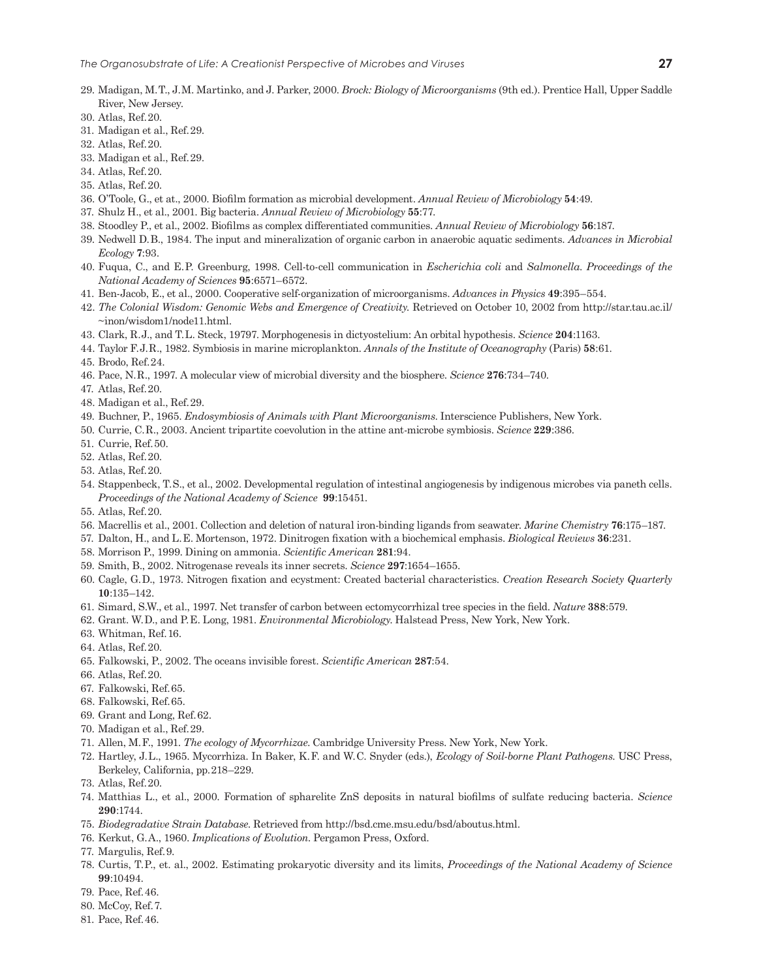- 29. Madigan, M. T., J. M. Martinko, and J. Parker, 2000. *Brock: Biology of Microorganisms* (9th ed.). Prentice Hall, Upper Saddle River, New Jersey.
- 30. Atlas, Ref. 20.
- 31. Madigan et al., Ref. 29.
- 32. Atlas, Ref. 20.
- 33. Madigan et al., Ref. 29.
- 34. Atlas, Ref. 20.
- 35. Atlas, Ref. 20.
- 36. O'Toole, G., et at., 2000. Biofilm formation as microbial development. *Annual Review of Microbiology* **54**:49.
- 37. Shulz H., et al., 2001. Big bacteria. *Annual Review of Microbiology* **55**:77.
- 38. Stoodley P., et al., 2002. Biofilms as complex differentiated communities. *Annual Review of Microbiology* **56**:187.
- 39. Nedwell D. B., 1984. The input and mineralization of organic carbon in anaerobic aquatic sediments. *Advances in Microbial Ecology* **7**:93.
- 40. Fuqua, C., and E. P. Greenburg, 1998. Cell-to-cell communication in *Escherichia coli* and *Salmonella*. *Proceedings of the National Academy of Sciences* **95**:6571–6572.
- 41. Ben-Jacob, E., et al., 2000. Cooperative self-organization of microorganisms. *Advances in Physics* **49**:395–554.
- 42. *The Colonial Wisdom: Genomic Webs and Emergence of Creativity.* Retrieved on October 10, 2002 from http://star.tau.ac.il/ ~inon/wisdom1/node11.html.
- 43. Clark, R. J., and T. L. Steck, 19797. Morphogenesis in dictyostelium: An orbital hypothesis. *Science* **204**:1163.
- 44. Taylor F. J. R., 1982. Symbiosis in marine microplankton. *Annals of the Institute of Oceanography* (Paris) **58**:61.
- 45. Brodo, Ref. 24.
- 46. Pace, N. R., 1997. A molecular view of microbial diversity and the biosphere. *Science* **276**:734–740.
- 47. Atlas, Ref. 20.
- 48. Madigan et al., Ref. 29.
- 49. Buchner, P., 1965. *Endosymbiosis of Animals with Plant Microorganisms*. Interscience Publishers, New York.
- 50. Currie, C. R., 2003. Ancient tripartite coevolution in the attine ant-microbe symbiosis. *Science* **229**:386.
- 51. Currie, Ref. 50.
- 52. Atlas, Ref. 20.
- 53. Atlas, Ref. 20.
- 54. Stappenbeck, T. S., et al., 2002. Developmental regulation of intestinal angiogenesis by indigenous microbes via paneth cells. *Proceedings of the National Academy of Science* **99**:15451.
- 55. Atlas, Ref. 20.
- 56. Macrellis et al., 2001. Collection and deletion of natural iron-binding ligands from seawater. *Marine Chemistry* **76**:175–187.
- 57. Dalton, H., and L. E. Mortenson, 1972. Dinitrogen fixation with a biochemical emphasis. *Biological Reviews* **36**:231.
- 58. Morrison P., 1999. Dining on ammonia. *Scientific American* **281**:94.
- 59. Smith, B., 2002. Nitrogenase reveals its inner secrets. *Science* **297**:1654–1655.
- 60. Cagle, G. D., 1973. Nitrogen fixation and ecystment: Created bacterial characteristics. *Creation Research Society Quarterly* **10**:135–142.
- 61. Simard, S.W., et al., 1997. Net transfer of carbon between ectomycorrhizal tree species in the field. *Nature* **388**:579.
- 62. Grant. W. D., and P. E. Long, 1981. *Environmental Microbiology*. Halstead Press, New York, New York.
- 63. Whitman, Ref. 16.
- 64. Atlas, Ref. 20.
- 65. Falkowski, P., 2002. The oceans invisible forest. *Scientific American* **287**:54.
- 66. Atlas, Ref. 20.
- 67. Falkowski, Ref. 65.
- 68. Falkowski, Ref. 65.
- 69. Grant and Long, Ref. 62.
- 70. Madigan et al., Ref. 29.
- 71. Allen, M. F., 1991. *The ecology of Mycorrhizae*. Cambridge University Press. New York, New York.
- 72. Hartley, J. L., 1965. Mycorrhiza. In Baker, K. F. and W. C. Snyder (eds.), *Ecology of Soil-borne Plant Pathogens*. USC Press, Berkeley, California, pp. 218–229.
- 73. Atlas, Ref. 20.
- 74. Matthias L., et al., 2000. Formation of spharelite ZnS deposits in natural biofilms of sulfate reducing bacteria. *Science* **290**:1744.
- 75. *Biodegradative Strain Database*. Retrieved from http://bsd.cme.msu.edu/bsd/aboutus.html.
- 76. Kerkut, G. A., 1960. *Implications of Evolution*. Pergamon Press, Oxford.
- 77. Margulis, Ref. 9.
- 78. Curtis, T. P., et. al., 2002. Estimating prokaryotic diversity and its limits, *Proceedings of the National Academy of Science* **99**:10494.
- 79. Pace, Ref. 46.
- 80. McCoy, Ref. 7.
- 81. Pace, Ref. 46.